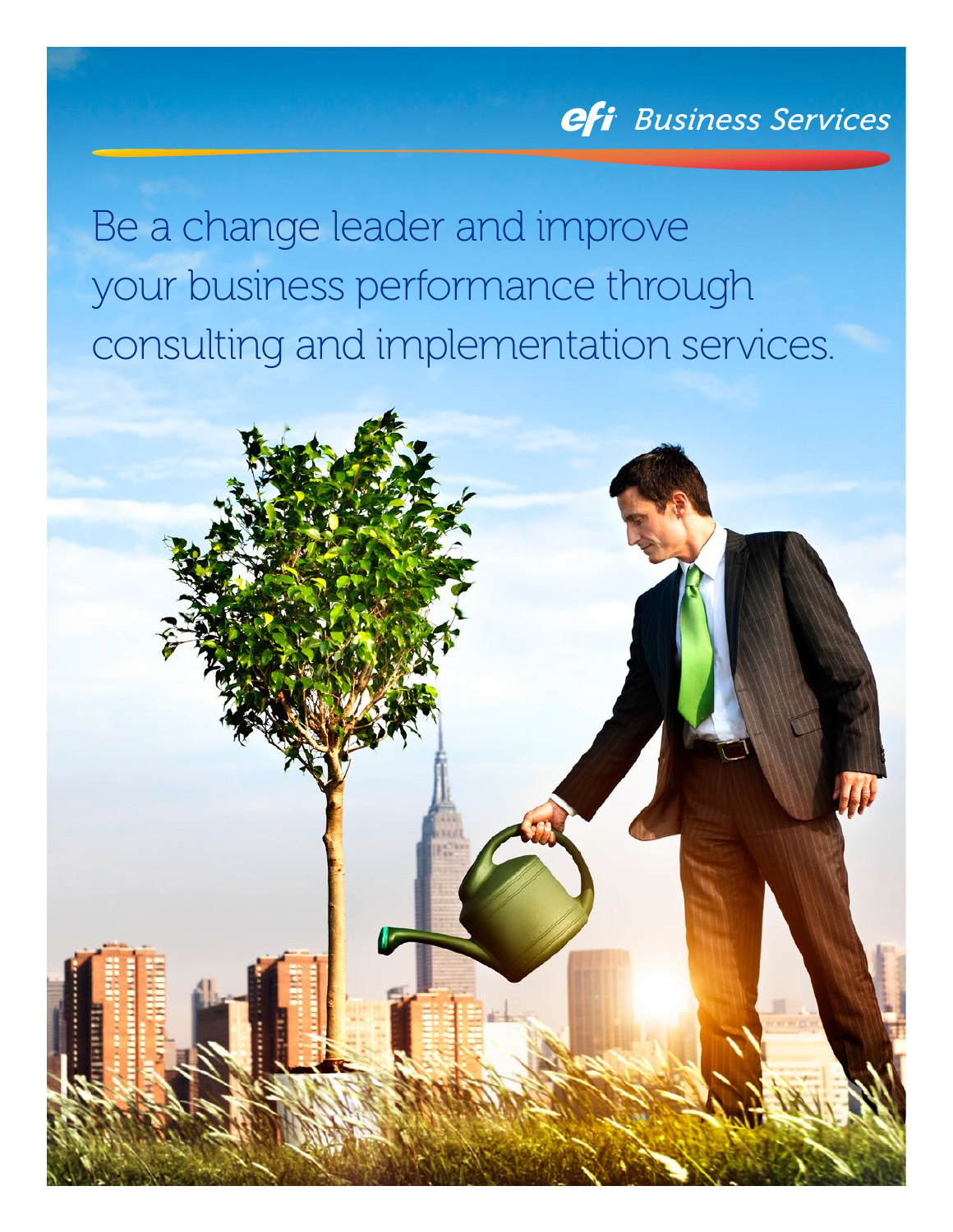## *Business Services*

Be a change leader and improve your business performance through consulting and implementation services.

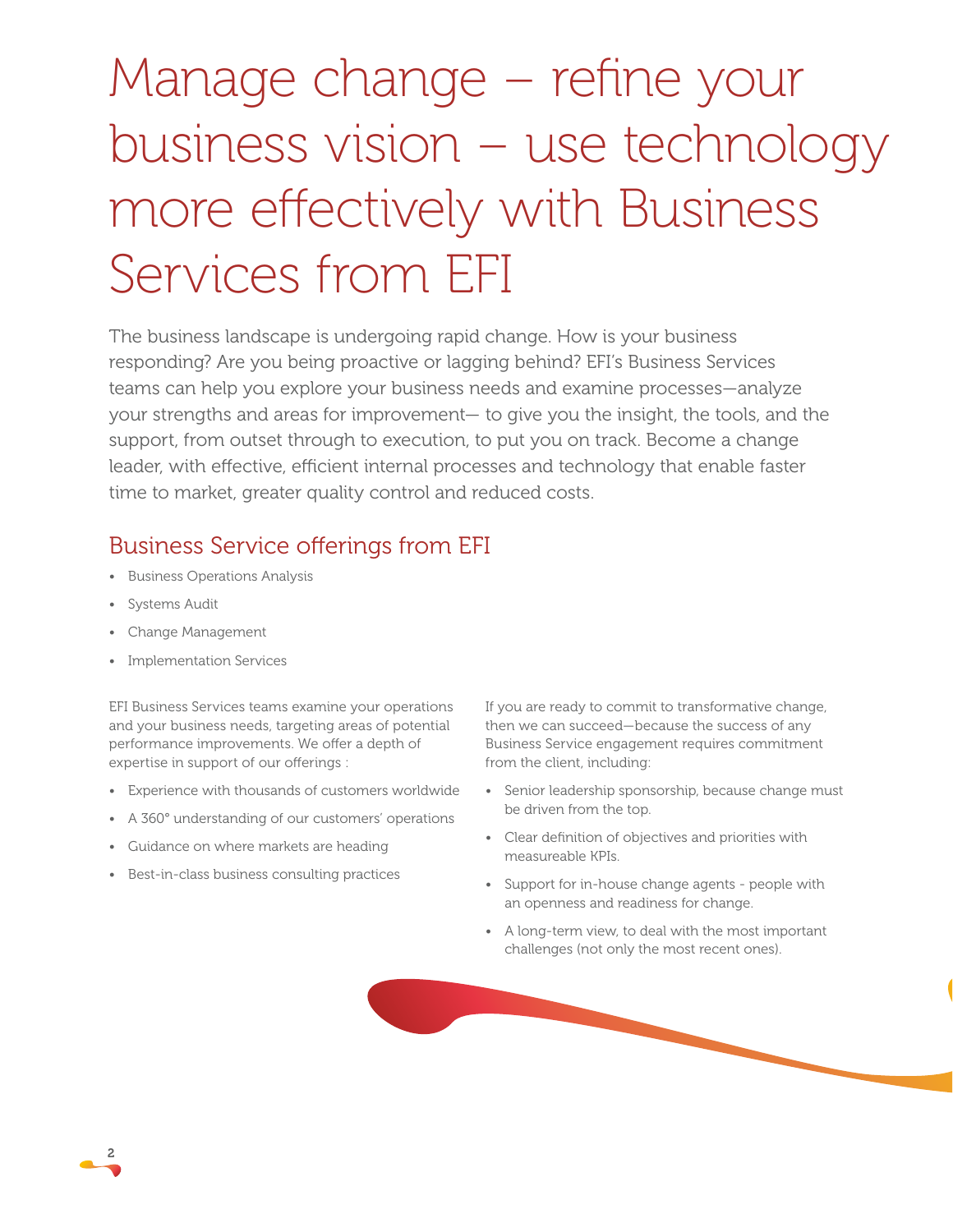# Manage change – refine your business vision – use technology more effectively with Business Services from EFI

The business landscape is undergoing rapid change. How is your business responding? Are you being proactive or lagging behind? EFI's Business Services teams can help you explore your business needs and examine processes—analyze your strengths and areas for improvement— to give you the insight, the tools, and the support, from outset through to execution, to put you on track. Become a change leader, with effective, efficient internal processes and technology that enable faster time to market, greater quality control and reduced costs.

### Business Service offerings from EFI

- Business Operations Analysis
- Systems Audit
- Change Management
- Implementation Services

EFI Business Services teams examine your operations and your business needs, targeting areas of potential performance improvements. We offer a depth of expertise in support of our offerings :

- Experience with thousands of customers worldwide
- A 360° understanding of our customers' operations
- Guidance on where markets are heading
- Best-in-class business consulting practices

If you are ready to commit to transformative change, then we can succeed—because the success of any Business Service engagement requires commitment from the client, including:

- Senior leadership sponsorship, because change must be driven from the top.
- Clear definition of objectives and priorities with measureable KPIs.
- Support for in-house change agents people with an openness and readiness for change.
- A long-term view, to deal with the most important challenges (not only the most recent ones).

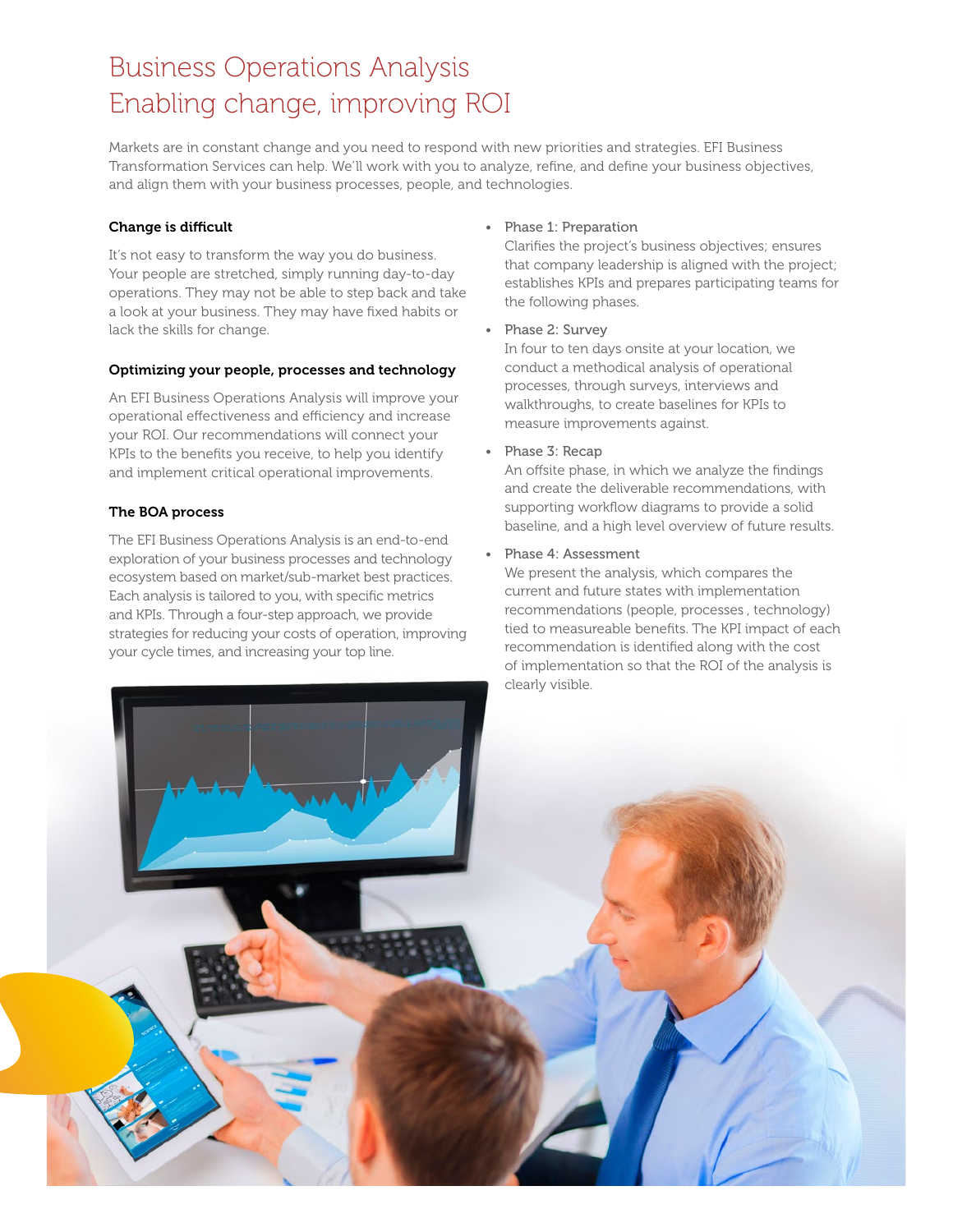### Business Operations Analysis Enabling change, improving ROI

Markets are in constant change and you need to respond with new priorities and strategies. EFI Business Transformation Services can help. We'll work with you to analyze, refine, and define your business objectives, and align them with your business processes, people, and technologies.

### Change is difficult

It's not easy to transform the way you do business. Your people are stretched, simply running day-to-day operations. They may not be able to step back and take a look at your business. They may have fixed habits or lack the skills for change.

### Optimizing your people, processes and technology

An EFI Business Operations Analysis will improve your operational effectiveness and efficiency and increase your ROI. Our recommendations will connect your KPIs to the benefits you receive, to help you identify and implement critical operational improvements.

### The BOA process

The EFI Business Operations Analysis is an end-to-end exploration of your business processes and technology ecosystem based on market/sub-market best practices. Each analysis is tailored to you, with specific metrics and KPIs. Through a four-step approach, we provide strategies for reducing your costs of operation, improving your cycle times, and increasing your top line.

• Phase 1: Preparation

Clarifies the project's business objectives; ensures that company leadership is aligned with the project; establishes KPIs and prepares participating teams for the following phases.

• Phase 2: Survey

In four to ten days onsite at your location, we conduct a methodical analysis of operational processes, through surveys, interviews and walkthroughs, to create baselines for KPIs to measure improvements against.

• Phase 3: Recap

An offsite phase, in which we analyze the findings and create the deliverable recommendations, with supporting workflow diagrams to provide a solid baseline, and a high level overview of future results.

• Phase 4: Assessment

We present the analysis, which compares the current and future states with implementation recommendations (people, processes , technology) tied to measureable benefits. The KPI impact of each recommendation is identified along with the cost of implementation so that the ROI of the analysis is clearly visible.

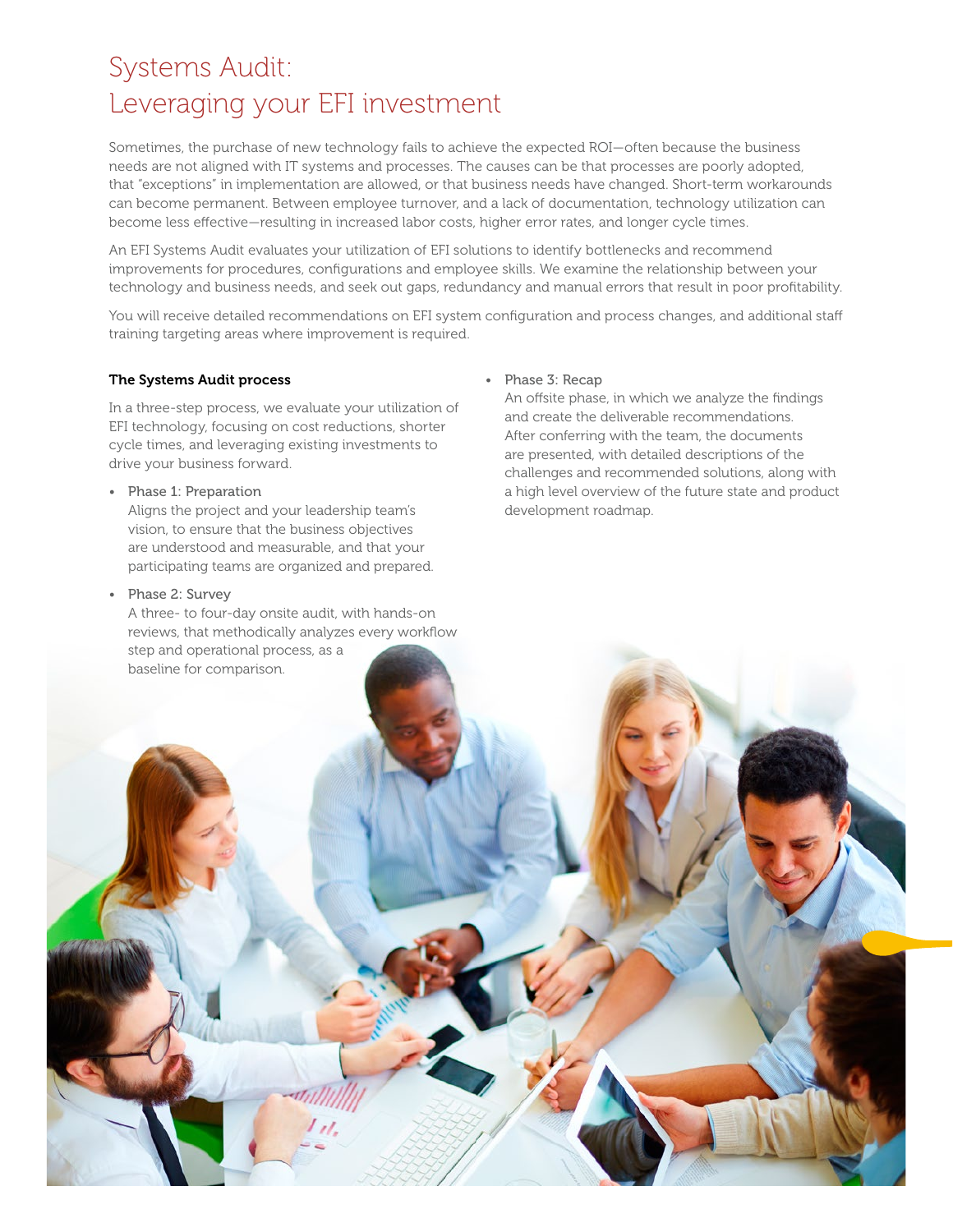### Systems Audit: Leveraging your EFI investment

Sometimes, the purchase of new technology fails to achieve the expected ROI—often because the business needs are not aligned with IT systems and processes. The causes can be that processes are poorly adopted, that "exceptions" in implementation are allowed, or that business needs have changed. Short-term workarounds can become permanent. Between employee turnover, and a lack of documentation, technology utilization can become less effective—resulting in increased labor costs, higher error rates, and longer cycle times.

An EFI Systems Audit evaluates your utilization of EFI solutions to identify bottlenecks and recommend improvements for procedures, configurations and employee skills. We examine the relationship between your technology and business needs, and seek out gaps, redundancy and manual errors that result in poor profitability.

You will receive detailed recommendations on EFI system configuration and process changes, and additional staff training targeting areas where improvement is required.

### The Systems Audit process

In a three-step process, we evaluate your utilization of EFI technology, focusing on cost reductions, shorter cycle times, and leveraging existing investments to drive your business forward.

### • Phase 1: Preparation

Aligns the project and your leadership team's vision, to ensure that the business objectives are understood and measurable, and that your participating teams are organized and prepared.

### • Phase 2: Survey

A three- to four-day onsite audit, with hands-on step and operational process, as a

### • Phase 3: Recap

An offsite phase, in which we analyze the findings and create the deliverable recommendations. After conferring with the team, the documents are presented, with detailed descriptions of the challenges and recommended solutions, along with a high level overview of the future state and product development roadmap.

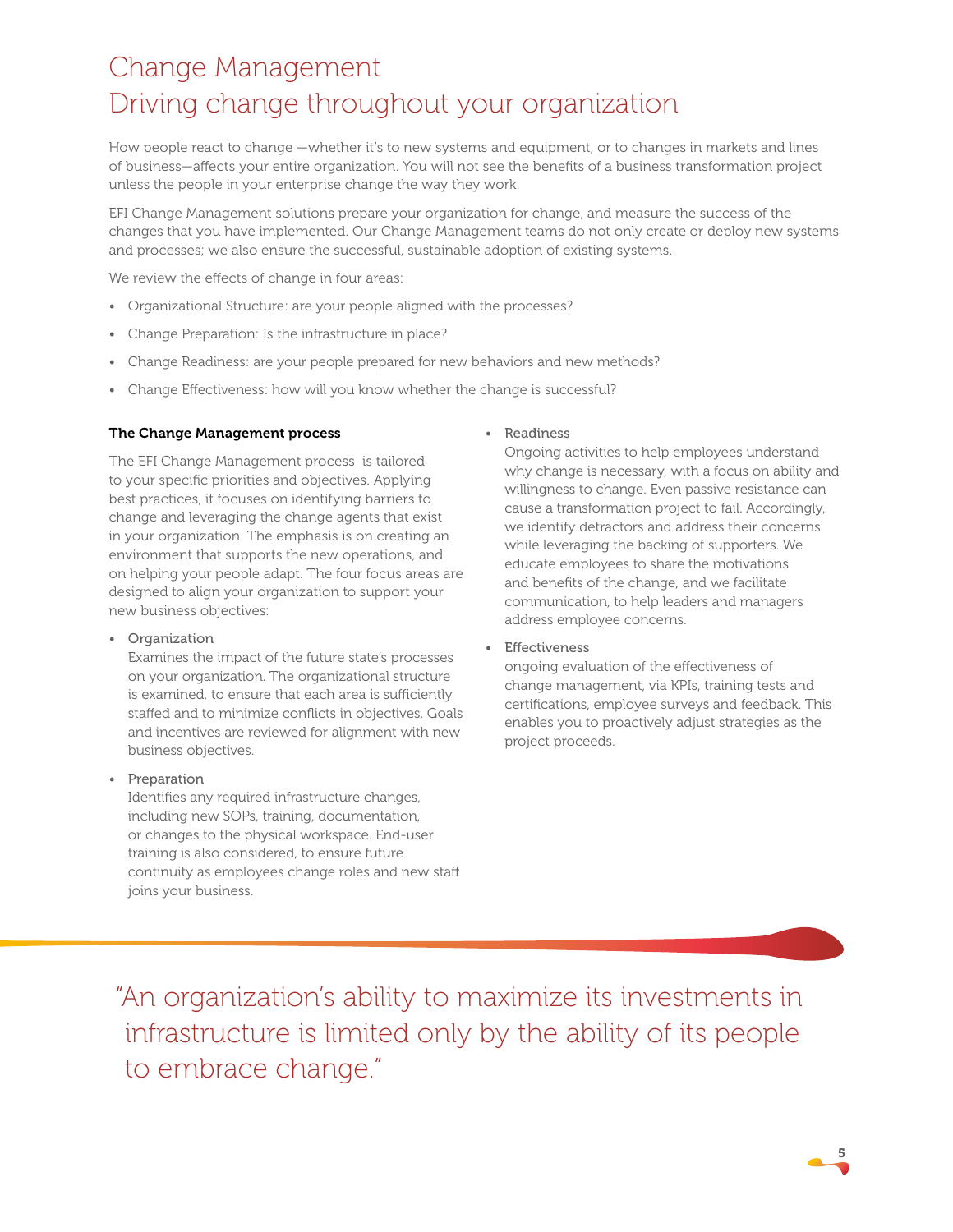### Change Management Driving change throughout your organization

How people react to change —whether it's to new systems and equipment, or to changes in markets and lines of business—affects your entire organization. You will not see the benefits of a business transformation project unless the people in your enterprise change the way they work.

EFI Change Management solutions prepare your organization for change, and measure the success of the changes that you have implemented. Our Change Management teams do not only create or deploy new systems and processes; we also ensure the successful, sustainable adoption of existing systems.

We review the effects of change in four areas:

- Organizational Structure: are your people aligned with the processes?
- Change Preparation: Is the infrastructure in place?
- Change Readiness: are your people prepared for new behaviors and new methods?
- Change Effectiveness: how will you know whether the change is successful?

### The Change Management process

The EFI Change Management process is tailored to your specific priorities and objectives. Applying best practices, it focuses on identifying barriers to change and leveraging the change agents that exist in your organization. The emphasis is on creating an environment that supports the new operations, and on helping your people adapt. The four focus areas are designed to align your organization to support your new business objectives:

#### • Organization

Examines the impact of the future state's processes on your organization. The organizational structure is examined, to ensure that each area is sufficiently staffed and to minimize conflicts in objectives. Goals and incentives are reviewed for alignment with new business objectives.

### • Preparation

Identifies any required infrastructure changes, including new SOPs, training, documentation, or changes to the physical workspace. End-user training is also considered, to ensure future continuity as employees change roles and new staff joins your business.

#### • Readiness

Ongoing activities to help employees understand why change is necessary, with a focus on ability and willingness to change. Even passive resistance can cause a transformation project to fail. Accordingly, we identify detractors and address their concerns while leveraging the backing of supporters. We educate employees to share the motivations and benefits of the change, and we facilitate communication, to help leaders and managers address employee concerns.

**Effectiveness** 

ongoing evaluation of the effectiveness of change management, via KPIs, training tests and certifications, employee surveys and feedback. This enables you to proactively adjust strategies as the project proceeds.

"An organization's ability to maximize its investments in infrastructure is limited only by the ability of its people to embrace change."

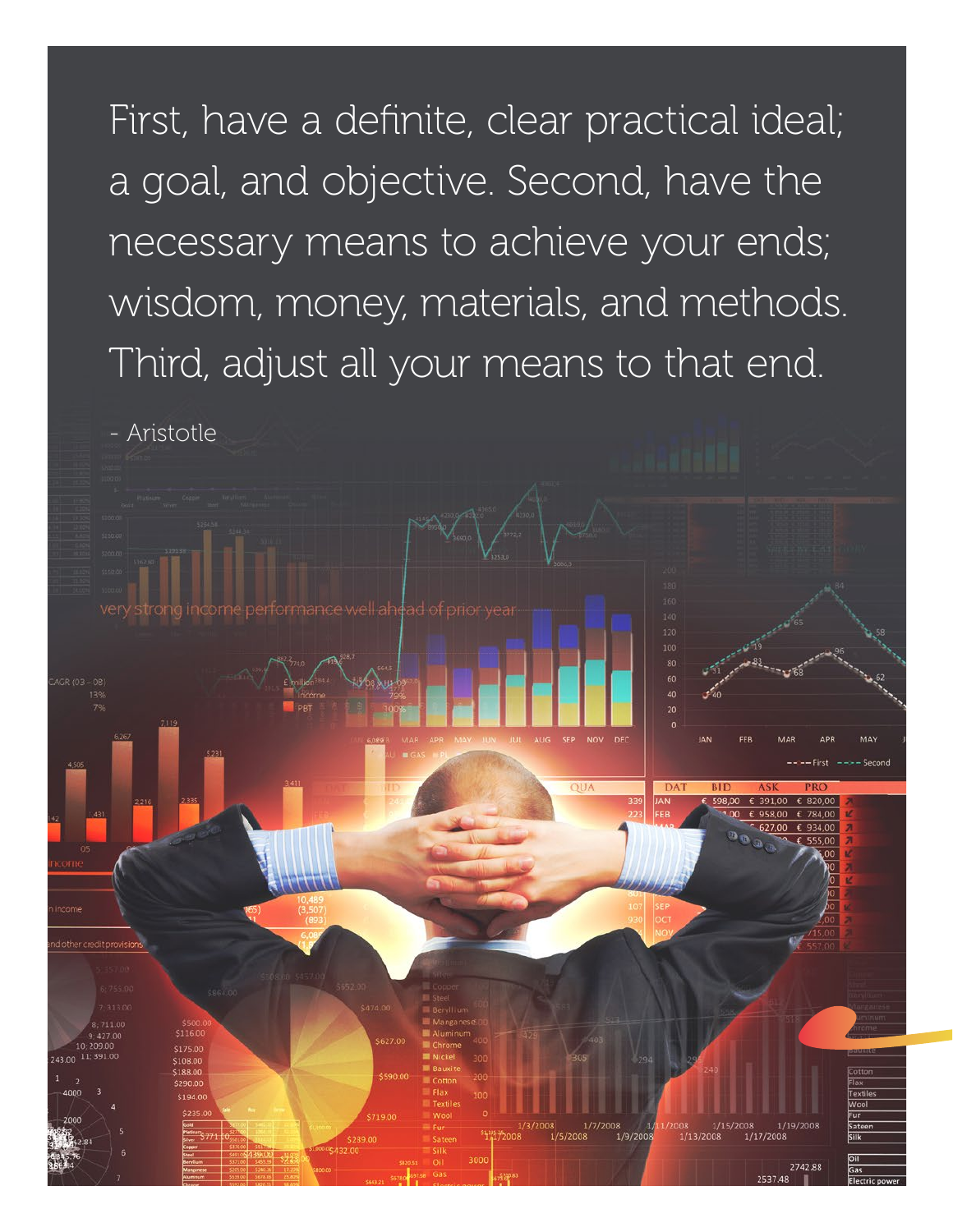First, have a definite, clear practical ideal; a goal, and objective. Second, have the necessary means to achieve your ends; wisdom, money, materials, and methods. Third, adjust all your means to that end.

- Aristotle

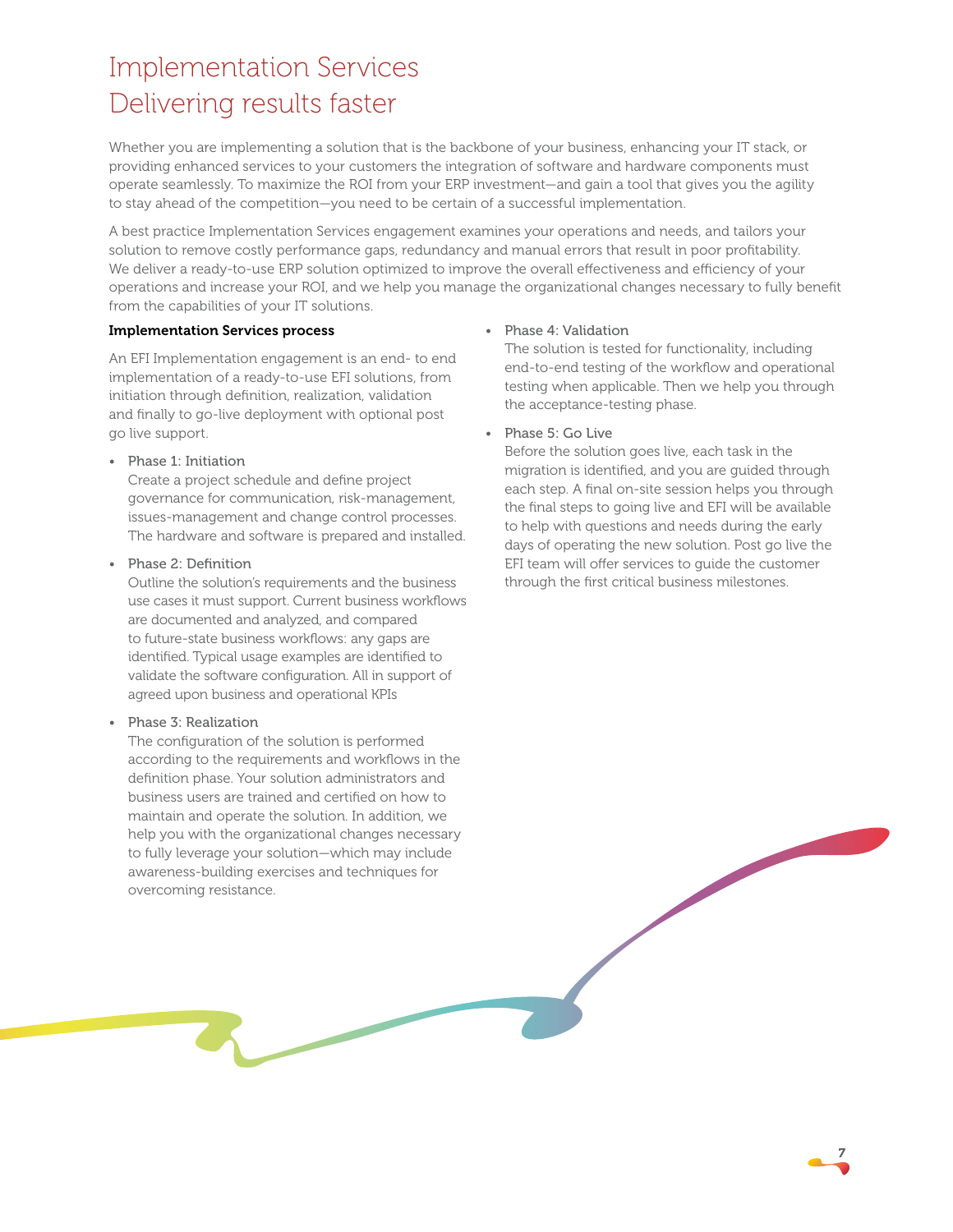### Implementation Services Delivering results faster

Whether you are implementing a solution that is the backbone of your business, enhancing your IT stack, or providing enhanced services to your customers the integration of software and hardware components must operate seamlessly. To maximize the ROI from your ERP investment—and gain a tool that gives you the agility to stay ahead of the competition—you need to be certain of a successful implementation.

A best practice Implementation Services engagement examines your operations and needs, and tailors your solution to remove costly performance gaps, redundancy and manual errors that result in poor profitability. We deliver a ready-to-use ERP solution optimized to improve the overall effectiveness and efficiency of your operations and increase your ROI, and we help you manage the organizational changes necessary to fully benefit from the capabilities of your IT solutions.

### Implementation Services process

An EFI Implementation engagement is an end- to end implementation of a ready-to-use EFI solutions, from initiation through definition, realization, validation and finally to go-live deployment with optional post go live support.

• Phase 1: Initiation

Create a project schedule and define project governance for communication, risk-management, issues-management and change control processes. The hardware and software is prepared and installed.

• Phase 2: Definition

Outline the solution's requirements and the business use cases it must support. Current business workflows are documented and analyzed, and compared to future-state business workflows: any gaps are identified. Typical usage examples are identified to validate the software configuration. All in support of agreed upon business and operational KPIs

### • Phase 3: Realization

The configuration of the solution is performed according to the requirements and workflows in the definition phase. Your solution administrators and business users are trained and certified on how to maintain and operate the solution. In addition, we help you with the organizational changes necessary to fully leverage your solution—which may include awareness-building exercises and techniques for overcoming resistance.

### • Phase 4: Validation

The solution is tested for functionality, including end-to-end testing of the workflow and operational testing when applicable. Then we help you through the acceptance-testing phase.

• Phase 5: Go Live

Before the solution goes live, each task in the migration is identified, and you are guided through each step. A final on-site session helps you through the final steps to going live and EFI will be available to help with questions and needs during the early days of operating the new solution. Post go live the EFI team will offer services to guide the customer through the first critical business milestones.